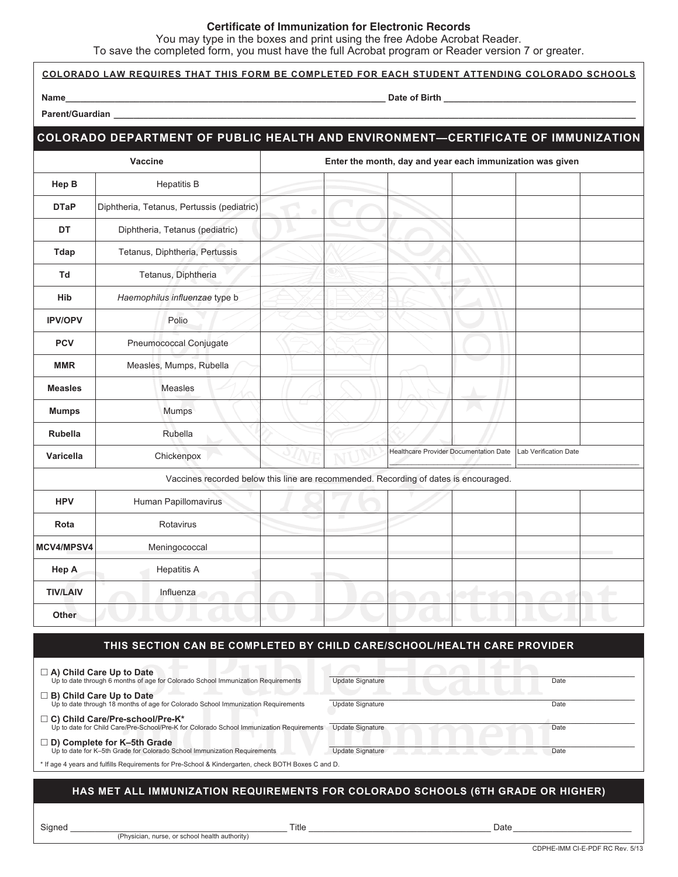## **Certificate of Immunization for Electronic Records**

You may type in the boxes and print using the free Adobe Acrobat Reader.

To save the completed form, you must have the full Acrobat program or Reader version 7 or greater.

|                                                                                                                                                                | TO Save the completed form, you must have the full Acrobat program or reader version F or greater.<br><u>COLORADO LAW REQUIRES THAT THIS FORM BE COMPLETED FOR EACH STUDENT ATTENDING COLORADO SCHOOLS</u> |   |                                                           |                                               |  |                       |  |
|----------------------------------------------------------------------------------------------------------------------------------------------------------------|------------------------------------------------------------------------------------------------------------------------------------------------------------------------------------------------------------|---|-----------------------------------------------------------|-----------------------------------------------|--|-----------------------|--|
|                                                                                                                                                                | Name_<br><u>. Andreas and the second control of the second control of the second control of the second control of the second</u>                                                                           |   |                                                           |                                               |  |                       |  |
|                                                                                                                                                                |                                                                                                                                                                                                            |   |                                                           |                                               |  |                       |  |
|                                                                                                                                                                | COLORADO DEPARTMENT OF PUBLIC HEALTH AND ENVIRONMENT-CERTIFICATE OF IMMUNIZATION                                                                                                                           |   |                                                           |                                               |  |                       |  |
| Vaccine                                                                                                                                                        |                                                                                                                                                                                                            |   | Enter the month, day and year each immunization was given |                                               |  |                       |  |
| Hep B                                                                                                                                                          | <b>Hepatitis B</b>                                                                                                                                                                                         |   |                                                           |                                               |  |                       |  |
| <b>DTaP</b>                                                                                                                                                    | Diphtheria, Tetanus, Pertussis (pediatric)                                                                                                                                                                 | ۰ |                                                           |                                               |  |                       |  |
| DT                                                                                                                                                             | Diphtheria, Tetanus (pediatric)                                                                                                                                                                            |   |                                                           |                                               |  |                       |  |
| Tdap                                                                                                                                                           | Tetanus, Diphtheria, Pertussis                                                                                                                                                                             |   |                                                           |                                               |  |                       |  |
| Td                                                                                                                                                             | Tetanus, Diphtheria                                                                                                                                                                                        |   |                                                           |                                               |  |                       |  |
| Hib                                                                                                                                                            | Haemophilus influenzae type b                                                                                                                                                                              |   |                                                           |                                               |  |                       |  |
| <b>IPV/OPV</b>                                                                                                                                                 | Polio                                                                                                                                                                                                      |   |                                                           |                                               |  |                       |  |
| <b>PCV</b>                                                                                                                                                     | Pneumococcal Conjugate                                                                                                                                                                                     |   |                                                           |                                               |  |                       |  |
| <b>MMR</b>                                                                                                                                                     | Measles, Mumps, Rubella                                                                                                                                                                                    |   |                                                           |                                               |  |                       |  |
| <b>Measles</b>                                                                                                                                                 | Measles                                                                                                                                                                                                    |   |                                                           |                                               |  |                       |  |
| <b>Mumps</b>                                                                                                                                                   | Mumps                                                                                                                                                                                                      |   |                                                           |                                               |  |                       |  |
| <b>Rubella</b>                                                                                                                                                 | Rubella                                                                                                                                                                                                    |   |                                                           |                                               |  |                       |  |
| Varicella                                                                                                                                                      | Chickenpox                                                                                                                                                                                                 |   |                                                           | <b>Healthcare Provider Documentation Date</b> |  | Lab Verification Date |  |
| Vaccines recorded below this line are recommended. Recording of dates is encouraged.                                                                           |                                                                                                                                                                                                            |   |                                                           |                                               |  |                       |  |
| <b>HPV</b>                                                                                                                                                     | Human Papillomavirus                                                                                                                                                                                       |   |                                                           |                                               |  |                       |  |
| Rota                                                                                                                                                           | Rotavirus                                                                                                                                                                                                  |   |                                                           |                                               |  |                       |  |
| MCV4/MPSV4                                                                                                                                                     | Meningococcal                                                                                                                                                                                              |   |                                                           |                                               |  |                       |  |
| Hep A                                                                                                                                                          | <b>Hepatitis A</b>                                                                                                                                                                                         |   |                                                           |                                               |  |                       |  |
| <b>TIV/LAIV</b>                                                                                                                                                | Influenza                                                                                                                                                                                                  |   |                                                           |                                               |  |                       |  |
| Other                                                                                                                                                          |                                                                                                                                                                                                            |   |                                                           |                                               |  |                       |  |
|                                                                                                                                                                | THIS SECTION CAN BE COMPLETED BY CHILD CARE/SCHOOL/HEALTH CARE PROVIDER                                                                                                                                    |   |                                                           |                                               |  |                       |  |
|                                                                                                                                                                |                                                                                                                                                                                                            |   |                                                           |                                               |  |                       |  |
| $\Box$ A) Child Care Up to Date<br>Up to date through 6 months of age for Colorado School Immunization Requirements                                            |                                                                                                                                                                                                            |   | <b>Update Signature</b><br>Date                           |                                               |  |                       |  |
| $\Box$ B) Child Care Up to Date<br><b>Update Signature</b><br>Up to date through 18 months of age for Colorado School Immunization Requirements<br>Date        |                                                                                                                                                                                                            |   |                                                           |                                               |  |                       |  |
| $\Box$ C) Child Care/Pre-school/Pre-K*<br>Up to date for Child Care/Pre-School/Pre-K for Colorado School Immunization Requirements<br>Update Signature<br>Date |                                                                                                                                                                                                            |   |                                                           |                                               |  |                       |  |
| $\square$ D) Complete for K-5th Grade<br>Up to date for K-5th Grade for Colorado School Immunization Requirements<br><b>Update Signature</b><br>Date           |                                                                                                                                                                                                            |   |                                                           |                                               |  |                       |  |
| * If age 4 years and fulfills Requirements for Pre-School & Kindergarten, check BOTH Boxes C and D.                                                            |                                                                                                                                                                                                            |   |                                                           |                                               |  |                       |  |

## **HAS MET ALL IMMUNIZATION REQUIREMENTS FOR COLORADO SCHOOLS (6TH GRADE OR HIGHER)**